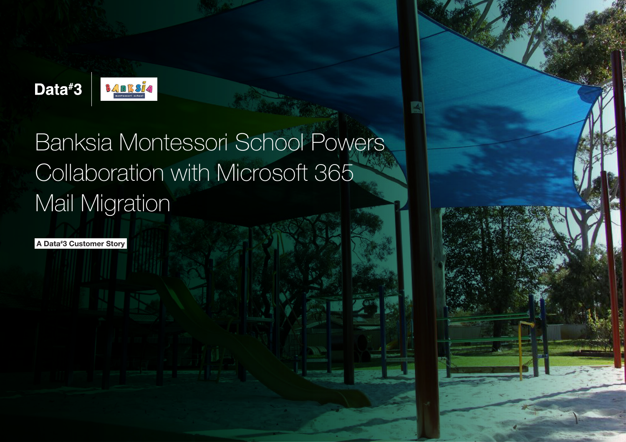

# Banksia Montessori School Powers Collaboration with Microsoft 365 Mail Migration

A Data# 3 Customer Story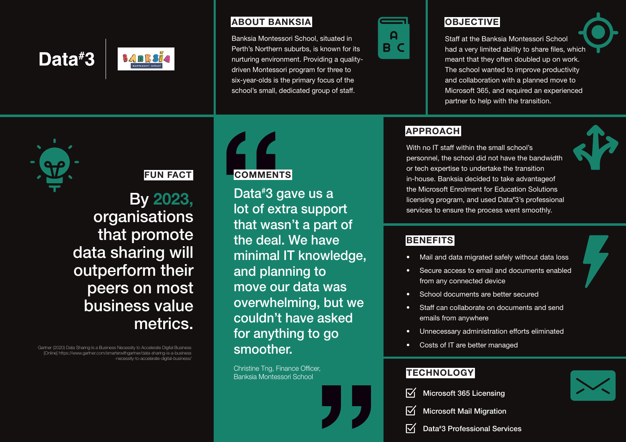# Data#3 **BANKSR**

## ABOUT BANKSIA

Banksia Montessori School, situated in Perth's Northern suburbs, is known for its nurturing environment. Providing a qualitydriven Montessori program for three to six-year-olds is the primary focus of the school's small, dedicated group of staff.



# **OBJECTIVE**

Staff at the Banksia Montessori School had a very limited ability to share files, which meant that they often doubled up on work. The school wanted to improve productivity and collaboration with a planned move to Microsoft 365, and required an experienced partner to help with the transition.

## APPROACH

With no IT staff within the small school's personnel, the school did not have the bandwidth or tech expertise to undertake the transition in-house. Banksia decided to take advantageof the Microsoft Enrolment for Education Solutions licensing program, and used Data# 3's professional services to ensure the process went smoothly.



### **BENEFITS**

- Mail and data migrated safely without data loss
- Secure access to email and documents enabled from any connected device
- School documents are better secured
- **Staff can collaborate on documents and send** emails from anywhere
- Unnecessary administration efforts eliminated
- Costs of IT are better managed

### **TECHNOLOGY**

- Microsoft 365 Licensing
- Microsoft Mail Migration
- Data# 3 Professional Services

# FUN FACT

By 2023, organisations that promote data sharing will outperform their peers on most business value metrics.

Gartner (2020) Data Sharing Is a Business Necessity to Accelerate Digital Business [Online] https://www.gartner.com/smarterwithgartner/data-sharing-is-a-business -necessity-to-accelerate-digital-business/



# **COMMENTS**

Data# 3 gave us a lot of extra support that wasn't a part of the deal. We have minimal IT knowledge, and planning to move our data was overwhelming, but we couldn't have asked for anything to go smoother.

Christine Tng, Finance Officer, Banksia Montessori School



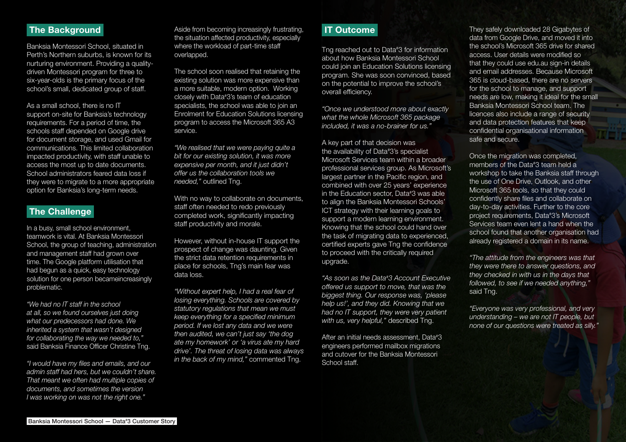### The Background

Banksia Montessori School, situated in Perth's Northern suburbs, is known for its nurturing environment. Providing a qualitydriven Montessori program for three to six-year-olds is the primary focus of the school's small, dedicated group of staff.

As a small school, there is no IT support on-site for Banksia's technology requirements. For a period of time, the schools staff depended on Google drive for document storage, and used Gmail for communications. This limited collaboration impacted productivity, with staff unable to access the most up to date documents. School administrators feared data loss if they were to migrate to a more appropriate option for Banksia's long-term needs.

### The Challenge

In a busy, small school environment, teamwork is vital. At Banksia Montessori School, the group of teaching, administration and management staff had grown over time. The Google platform utilisation that had begun as a quick, easy technology solution for one person becameincreasingly problematic.

*"We had no IT staff in the school at all, so we found ourselves just doing what our predecessors had done. We inherited a system that wasn't designed for collaborating the way we needed to,"*  said Banksia Finance Officer Christine Tng.

*"I would have my files and emails, and our admin staff had hers, but we couldn't share. That meant we often had multiple copies of documents, and sometimes the version I was working on was not the right one."*

Aside from becoming increasingly frustrating, the situation affected productivity, especially where the workload of part-time staff overlapped.

The school soon realised that retaining the existing solution was more expensive than a more suitable, modern option. Working closely with Data# 3's team of education specialists, the school was able to join an Enrolment for Education Solutions licensing program to access the Microsoft 365 A3 service.

*"We realised that we were paying quite a bit for our existing solution, it was more expensive per month, and it just didn't offer us the collaboration tools we needed,"* outlined Tng.

With no way to collaborate on documents, staff often needed to redo previously completed work, significantly impacting staff productivity and morale.

However, without in-house IT support the prospect of change was daunting. Given the strict data retention requirements in place for schools, Tng's main fear was data loss.

*"Without expert help, I had a real fear of losing everything. Schools are covered by statutory regulations that mean we must keep everything for a specified minimum period. If we lost any data and we were then audited, we can't just say 'the dog ate my homework' or 'a virus ate my hard drive'. The threat of losing data was always in the back of my mind,"* commented Tng.

#### IT Outcome

Tng reached out to Data# 3 for information about how Banksia Montessori School could join an Education Solutions licensing program. She was soon convinced, based on the potential to improve the school's overall efficiency.

*"Once we understood more about exactly what the whole Microsoft 365 package included, it was a no-brainer for us."*

A key part of that decision was the availability of Data# 3's specialist Microsoft Services team within a broader professional services group. As Microsoft's largest partner in the Pacific region, and combined with over 25 years' experience in the Education sector, Data# 3 was able to align the Banksia Montessori Schools' ICT strategy with their learning goals to support a modern learning environment. Knowing that the school could hand over the task of migrating data to experienced, certified experts gave Tng the confidence to proceed with the critically required upgrade.

*"As soon as the Data# 3 Account Executive offered us support to move, that was the biggest thing. Our response was, 'please help us!', and they did. Knowing that we had no IT support, they were very patient with us, very helpful,"* described Tng.

After an initial needs assessment, Data#3 engineers performed mailbox migrations and cutover for the Banksia Montessori School staff

They safely downloaded 28 Gigabytes of data from Google Drive, and moved it into the school's Microsoft 365 drive for shared access. User details were modified so that they could use edu.au sign-in details and email addresses. Because Microsoft 365 is cloud-based, there are no servers for the school to manage, and support needs are low, making it ideal for the small Banksia Montessori School team. The licences also include a range of security and data protection features that keep confidential organisational information safe and secure.

Once the migration was completed, members of the Data# 3 team held a workshop to take the Banksia staff through the use of One Drive, Outlook, and other Microsoft 365 tools, so that they could confidently share files and collaborate on day-to-day activities. Further to the core project requirements, Data# 3's Microsoft Services team even lent a hand when the school found that another organisation had already registered a domain in its name.

*"The attitude from the engineers was that they were there to answer questions, and they checked in with us in the days that followed, to see if we needed anything,"*  said Tng.

*"Everyone was very professional, and very understanding – we are not IT people, but none of our questions were treated as silly."*